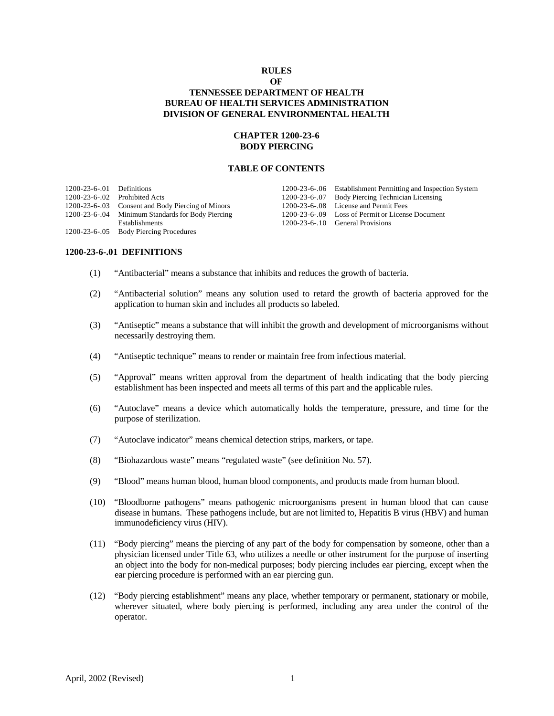#### **RULES**

# **OF TENNESSEE DEPARTMENT OF HEALTH BUREAU OF HEALTH SERVICES ADMINISTRATION DIVISION OF GENERAL ENVIRONMENTAL HEALTH**

## **CHAPTER 1200-23-6 BODY PIERCING**

### **TABLE OF CONTENTS**

| $1200-23-6-01$ Definitions |                                                  | 1200-23-6-06 Establishment Permitting and Inspection System |
|----------------------------|--------------------------------------------------|-------------------------------------------------------------|
|                            | $1200-23-6-.02$ Prohibited Acts                  | 1200-23-6-07 Body Piercing Technician Licensing             |
|                            | 1200-23-6-03 Consent and Body Piercing of Minors | 1200-23-6-08 License and Permit Fees                        |
|                            | 1200-23-6-04 Minimum Standards for Body Piercing | 1200-23-6-09 Loss of Permit or License Document             |
|                            | <b>Establishments</b>                            | 1200-23-6-10 General Provisions                             |
|                            | 1200-23-6-05 Body Piercing Procedures            |                                                             |

#### **1200-23-6-.01 DEFINITIONS**

- (1) "Antibacterial" means a substance that inhibits and reduces the growth of bacteria.
- (2) "Antibacterial solution" means any solution used to retard the growth of bacteria approved for the application to human skin and includes all products so labeled.
- (3) "Antiseptic" means a substance that will inhibit the growth and development of microorganisms without necessarily destroying them.
- (4) "Antiseptic technique" means to render or maintain free from infectious material.
- (5) "Approval" means written approval from the department of health indicating that the body piercing establishment has been inspected and meets all terms of this part and the applicable rules.
- (6) "Autoclave" means a device which automatically holds the temperature, pressure, and time for the purpose of sterilization.
- (7) "Autoclave indicator" means chemical detection strips, markers, or tape.
- (8) "Biohazardous waste" means "regulated waste" (see definition No. 57).
- (9) "Blood" means human blood, human blood components, and products made from human blood.
- (10) "Bloodborne pathogens" means pathogenic microorganisms present in human blood that can cause disease in humans. These pathogens include, but are not limited to, Hepatitis B virus (HBV) and human immunodeficiency virus (HIV).
- (11) "Body piercing" means the piercing of any part of the body for compensation by someone, other than a physician licensed under Title 63, who utilizes a needle or other instrument for the purpose of inserting an object into the body for non-medical purposes; body piercing includes ear piercing, except when the ear piercing procedure is performed with an ear piercing gun.
- (12) "Body piercing establishment" means any place, whether temporary or permanent, stationary or mobile, wherever situated, where body piercing is performed, including any area under the control of the operator.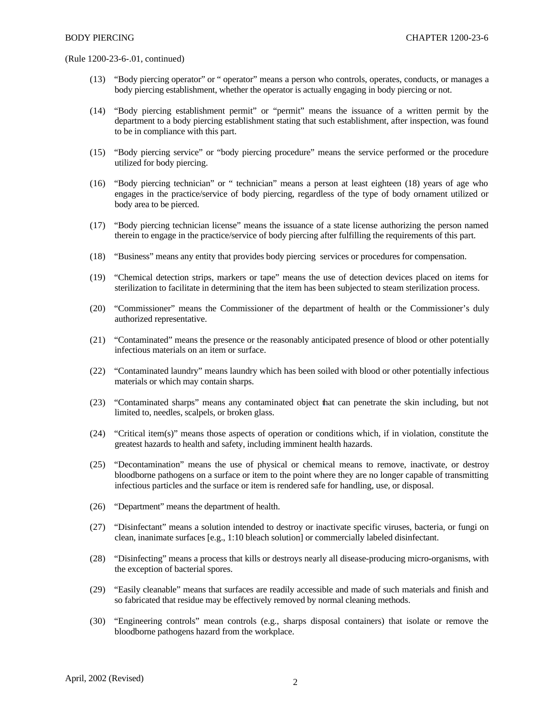- (13) "Body piercing operator" or " operator" means a person who controls, operates, conducts, or manages a body piercing establishment, whether the operator is actually engaging in body piercing or not.
- (14) "Body piercing establishment permit" or "permit" means the issuance of a written permit by the department to a body piercing establishment stating that such establishment, after inspection, was found to be in compliance with this part.
- (15) "Body piercing service" or "body piercing procedure" means the service performed or the procedure utilized for body piercing.
- (16) "Body piercing technician" or " technician" means a person at least eighteen (18) years of age who engages in the practice/service of body piercing, regardless of the type of body ornament utilized or body area to be pierced.
- (17) "Body piercing technician license" means the issuance of a state license authorizing the person named therein to engage in the practice/service of body piercing after fulfilling the requirements of this part.
- (18) "Business" means any entity that provides body piercing services or procedures for compensation.
- (19) "Chemical detection strips, markers or tape" means the use of detection devices placed on items for sterilization to facilitate in determining that the item has been subjected to steam sterilization process.
- (20) "Commissioner" means the Commissioner of the department of health or the Commissioner's duly authorized representative.
- (21) "Contaminated" means the presence or the reasonably anticipated presence of blood or other potentially infectious materials on an item or surface.
- (22) "Contaminated laundry" means laundry which has been soiled with blood or other potentially infectious materials or which may contain sharps.
- (23) "Contaminated sharps" means any contaminated object that can penetrate the skin including, but not limited to, needles, scalpels, or broken glass.
- (24) "Critical item(s)" means those aspects of operation or conditions which, if in violation, constitute the greatest hazards to health and safety, including imminent health hazards.
- (25) "Decontamination" means the use of physical or chemical means to remove, inactivate, or destroy bloodborne pathogens on a surface or item to the point where they are no longer capable of transmitting infectious particles and the surface or item is rendered safe for handling, use, or disposal.
- (26) "Department" means the department of health.
- (27) "Disinfectant" means a solution intended to destroy or inactivate specific viruses, bacteria, or fungi on clean, inanimate surfaces [e.g., 1:10 bleach solution] or commercially labeled disinfectant.
- (28) "Disinfecting" means a process that kills or destroys nearly all disease-producing micro-organisms, with the exception of bacterial spores.
- (29) "Easily cleanable" means that surfaces are readily accessible and made of such materials and finish and so fabricated that residue may be effectively removed by normal cleaning methods.
- (30) "Engineering controls" mean controls (e.g., sharps disposal containers) that isolate or remove the bloodborne pathogens hazard from the workplace.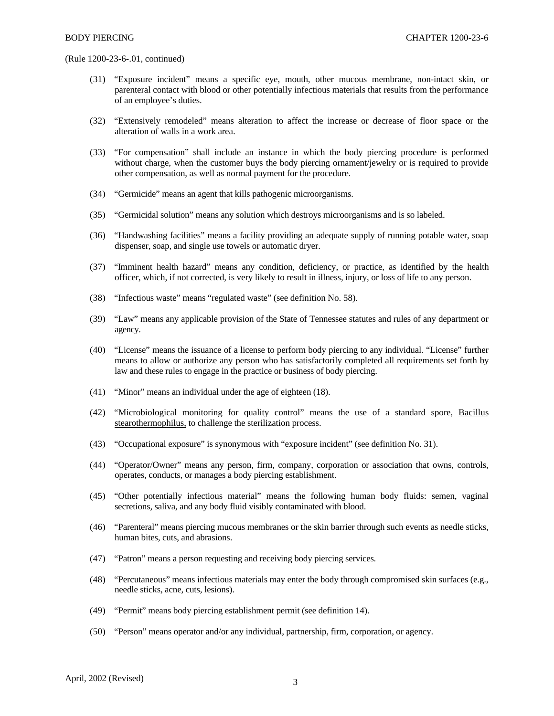- (31) "Exposure incident" means a specific eye, mouth, other mucous membrane, non-intact skin, or parenteral contact with blood or other potentially infectious materials that results from the performance of an employee's duties.
- (32) "Extensively remodeled" means alteration to affect the increase or decrease of floor space or the alteration of walls in a work area.
- (33) "For compensation" shall include an instance in which the body piercing procedure is performed without charge, when the customer buys the body piercing ornament/jewelry or is required to provide other compensation, as well as normal payment for the procedure.
- (34) "Germicide" means an agent that kills pathogenic microorganisms.
- (35) "Germicidal solution" means any solution which destroys microorganisms and is so labeled.
- (36) "Handwashing facilities" means a facility providing an adequate supply of running potable water, soap dispenser, soap, and single use towels or automatic dryer.
- (37) "Imminent health hazard" means any condition, deficiency, or practice, as identified by the health officer, which, if not corrected, is very likely to result in illness, injury, or loss of life to any person.
- (38) "Infectious waste" means "regulated waste" (see definition No. 58).
- (39) "Law" means any applicable provision of the State of Tennessee statutes and rules of any department or agency.
- (40) "License" means the issuance of a license to perform body piercing to any individual. "License" further means to allow or authorize any person who has satisfactorily completed all requirements set forth by law and these rules to engage in the practice or business of body piercing.
- (41) "Minor" means an individual under the age of eighteen (18).
- (42) "Microbiological monitoring for quality control" means the use of a standard spore, Bacillus stearothermophilus, to challenge the sterilization process.
- (43) "Occupational exposure" is synonymous with "exposure incident" (see definition No. 31).
- (44) "Operator/Owner" means any person, firm, company, corporation or association that owns, controls, operates, conducts, or manages a body piercing establishment.
- (45) "Other potentially infectious material" means the following human body fluids: semen, vaginal secretions, saliva, and any body fluid visibly contaminated with blood.
- (46) "Parenteral" means piercing mucous membranes or the skin barrier through such events as needle sticks, human bites, cuts, and abrasions.
- (47) "Patron" means a person requesting and receiving body piercing services.
- (48) "Percutaneous" means infectious materials may enter the body through compromised skin surfaces (e.g., needle sticks, acne, cuts, lesions).
- (49) "Permit" means body piercing establishment permit (see definition 14).
- (50) "Person" means operator and/or any individual, partnership, firm, corporation, or agency.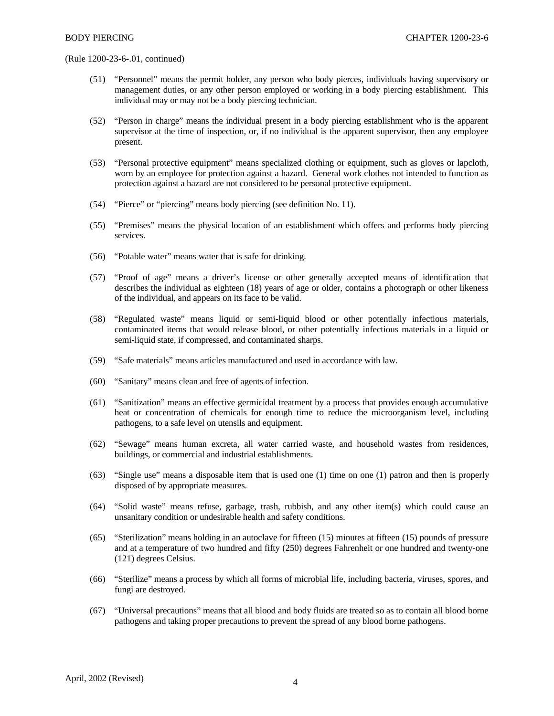- (51) "Personnel" means the permit holder, any person who body pierces, individuals having supervisory or management duties, or any other person employed or working in a body piercing establishment. This individual may or may not be a body piercing technician.
- (52) "Person in charge" means the individual present in a body piercing establishment who is the apparent supervisor at the time of inspection, or, if no individual is the apparent supervisor, then any employee present.
- (53) "Personal protective equipment" means specialized clothing or equipment, such as gloves or lapcloth, worn by an employee for protection against a hazard. General work clothes not intended to function as protection against a hazard are not considered to be personal protective equipment.
- (54) "Pierce" or "piercing" means body piercing (see definition No. 11).
- (55) "Premises" means the physical location of an establishment which offers and performs body piercing services.
- (56) "Potable water" means water that is safe for drinking.
- (57) "Proof of age" means a driver's license or other generally accepted means of identification that describes the individual as eighteen (18) years of age or older, contains a photograph or other likeness of the individual, and appears on its face to be valid.
- (58) "Regulated waste" means liquid or semi-liquid blood or other potentially infectious materials, contaminated items that would release blood, or other potentially infectious materials in a liquid or semi-liquid state, if compressed, and contaminated sharps.
- (59) "Safe materials" means articles manufactured and used in accordance with law.
- (60) "Sanitary" means clean and free of agents of infection.
- (61) "Sanitization" means an effective germicidal treatment by a process that provides enough accumulative heat or concentration of chemicals for enough time to reduce the microorganism level, including pathogens, to a safe level on utensils and equipment.
- (62) "Sewage" means human excreta, all water carried waste, and household wastes from residences, buildings, or commercial and industrial establishments.
- (63) "Single use" means a disposable item that is used one (1) time on one (1) patron and then is properly disposed of by appropriate measures.
- (64) "Solid waste" means refuse, garbage, trash, rubbish, and any other item(s) which could cause an unsanitary condition or undesirable health and safety conditions.
- (65) "Sterilization" means holding in an autoclave for fifteen (15) minutes at fifteen (15) pounds of pressure and at a temperature of two hundred and fifty (250) degrees Fahrenheit or one hundred and twenty-one (121) degrees Celsius.
- (66) "Sterilize" means a process by which all forms of microbial life, including bacteria, viruses, spores, and fungi are destroyed.
- (67) "Universal precautions" means that all blood and body fluids are treated so as to contain all blood borne pathogens and taking proper precautions to prevent the spread of any blood borne pathogens.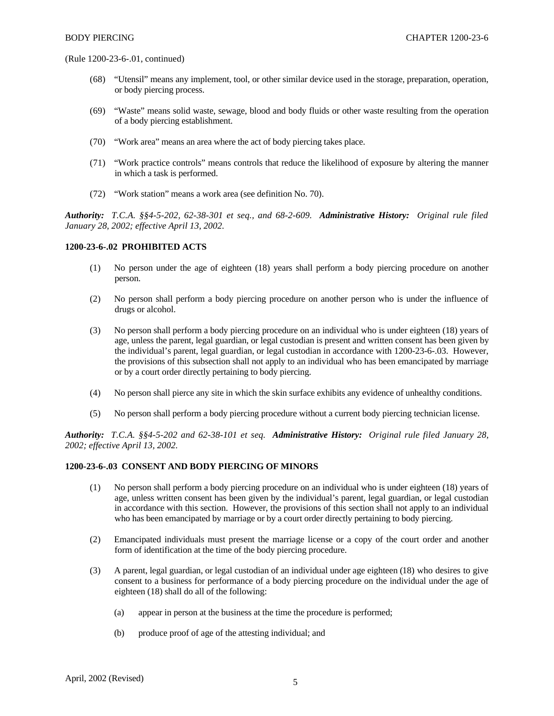- (68) "Utensil" means any implement, tool, or other similar device used in the storage, preparation, operation, or body piercing process.
- (69) "Waste" means solid waste, sewage, blood and body fluids or other waste resulting from the operation of a body piercing establishment.
- (70) "Work area" means an area where the act of body piercing takes place.
- (71) "Work practice controls" means controls that reduce the likelihood of exposure by altering the manner in which a task is performed.
- (72) "Work station" means a work area (see definition No. 70).

*Authority: T.C.A. §§4-5-202, 62-38-301 et seq., and 68-2-609. Administrative History: Original rule filed January 28, 2002; effective April 13, 2002.*

## **1200-23-6-.02 PROHIBITED ACTS**

- (1) No person under the age of eighteen (18) years shall perform a body piercing procedure on another person.
- (2) No person shall perform a body piercing procedure on another person who is under the influence of drugs or alcohol.
- (3) No person shall perform a body piercing procedure on an individual who is under eighteen (18) years of age, unless the parent, legal guardian, or legal custodian is present and written consent has been given by the individual's parent, legal guardian, or legal custodian in accordance with 1200-23-6-.03. However, the provisions of this subsection shall not apply to an individual who has been emancipated by marriage or by a court order directly pertaining to body piercing.
- (4) No person shall pierce any site in which the skin surface exhibits any evidence of unhealthy conditions.
- (5) No person shall perform a body piercing procedure without a current body piercing technician license.

*Authority: T.C.A. §§4-5-202 and 62-38-101 et seq. Administrative History: Original rule filed January 28, 2002; effective April 13, 2002.*

#### **1200-23-6-.03 CONSENT AND BODY PIERCING OF MINORS**

- (1) No person shall perform a body piercing procedure on an individual who is under eighteen (18) years of age, unless written consent has been given by the individual's parent, legal guardian, or legal custodian in accordance with this section. However, the provisions of this section shall not apply to an individual who has been emancipated by marriage or by a court order directly pertaining to body piercing.
- (2) Emancipated individuals must present the marriage license or a copy of the court order and another form of identification at the time of the body piercing procedure.
- (3) A parent, legal guardian, or legal custodian of an individual under age eighteen (18) who desires to give consent to a business for performance of a body piercing procedure on the individual under the age of eighteen (18) shall do all of the following:
	- (a) appear in person at the business at the time the procedure is performed;
	- (b) produce proof of age of the attesting individual; and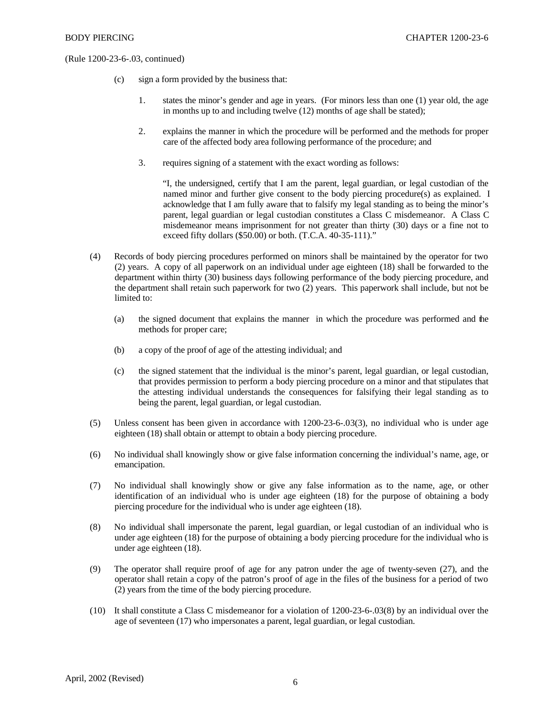- (c) sign a form provided by the business that:
	- 1. states the minor's gender and age in years. (For minors less than one (1) year old, the age in months up to and including twelve (12) months of age shall be stated);
	- 2. explains the manner in which the procedure will be performed and the methods for proper care of the affected body area following performance of the procedure; and
	- 3. requires signing of a statement with the exact wording as follows:

"I, the undersigned, certify that I am the parent, legal guardian, or legal custodian of the named minor and further give consent to the body piercing procedure(s) as explained. I acknowledge that I am fully aware that to falsify my legal standing as to being the minor's parent, legal guardian or legal custodian constitutes a Class C misdemeanor. A Class C misdemeanor means imprisonment for not greater than thirty (30) days or a fine not to exceed fifty dollars (\$50.00) or both. (T.C.A. 40-35-111)."

- (4) Records of body piercing procedures performed on minors shall be maintained by the operator for two (2) years. A copy of all paperwork on an individual under age eighteen (18) shall be forwarded to the department within thirty (30) business days following performance of the body piercing procedure, and the department shall retain such paperwork for two (2) years. This paperwork shall include, but not be limited to:
	- (a) the signed document that explains the manner in which the procedure was performed and the methods for proper care;
	- (b) a copy of the proof of age of the attesting individual; and
	- (c) the signed statement that the individual is the minor's parent, legal guardian, or legal custodian, that provides permission to perform a body piercing procedure on a minor and that stipulates that the attesting individual understands the consequences for falsifying their legal standing as to being the parent, legal guardian, or legal custodian.
- (5) Unless consent has been given in accordance with 1200-23-6-.03(3), no individual who is under age eighteen (18) shall obtain or attempt to obtain a body piercing procedure.
- (6) No individual shall knowingly show or give false information concerning the individual's name, age, or emancipation.
- (7) No individual shall knowingly show or give any false information as to the name, age, or other identification of an individual who is under age eighteen (18) for the purpose of obtaining a body piercing procedure for the individual who is under age eighteen (18).
- (8) No individual shall impersonate the parent, legal guardian, or legal custodian of an individual who is under age eighteen (18) for the purpose of obtaining a body piercing procedure for the individual who is under age eighteen (18).
- (9) The operator shall require proof of age for any patron under the age of twenty-seven (27), and the operator shall retain a copy of the patron's proof of age in the files of the business for a period of two (2) years from the time of the body piercing procedure.
- (10) It shall constitute a Class C misdemeanor for a violation of 1200-23-6-.03(8) by an individual over the age of seventeen (17) who impersonates a parent, legal guardian, or legal custodian.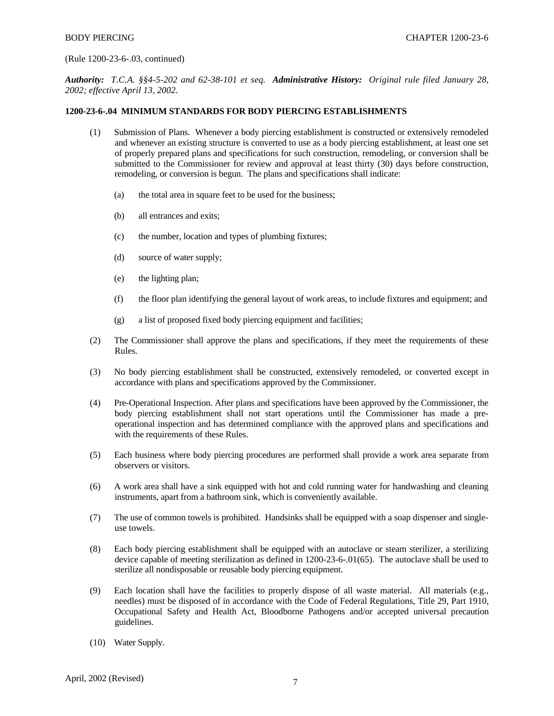*Authority: T.C.A. §§4-5-202 and 62-38-101 et seq. Administrative History: Original rule filed January 28, 2002; effective April 13, 2002.*

## **1200-23-6-.04 MINIMUM STANDARDS FOR BODY PIERCING ESTABLISHMENTS**

- (1) Submission of Plans. Whenever a body piercing establishment is constructed or extensively remodeled and whenever an existing structure is converted to use as a body piercing establishment, at least one set of properly prepared plans and specifications for such construction, remodeling, or conversion shall be submitted to the Commissioner for review and approval at least thirty (30) days before construction, remodeling, or conversion is begun. The plans and specifications shall indicate:
	- (a) the total area in square feet to be used for the business;
	- (b) all entrances and exits;
	- (c) the number, location and types of plumbing fixtures;
	- (d) source of water supply;
	- (e) the lighting plan;
	- (f) the floor plan identifying the general layout of work areas, to include fixtures and equipment; and
	- (g) a list of proposed fixed body piercing equipment and facilities;
- (2) The Commissioner shall approve the plans and specifications, if they meet the requirements of these Rules.
- (3) No body piercing establishment shall be constructed, extensively remodeled, or converted except in accordance with plans and specifications approved by the Commissioner.
- (4) Pre-Operational Inspection. After plans and specifications have been approved by the Commissioner, the body piercing establishment shall not start operations until the Commissioner has made a preoperational inspection and has determined compliance with the approved plans and specifications and with the requirements of these Rules.
- (5) Each business where body piercing procedures are performed shall provide a work area separate from observers or visitors.
- (6) A work area shall have a sink equipped with hot and cold running water for handwashing and cleaning instruments, apart from a bathroom sink, which is conveniently available.
- (7) The use of common towels is prohibited. Handsinks shall be equipped with a soap dispenser and singleuse towels.
- (8) Each body piercing establishment shall be equipped with an autoclave or steam sterilizer, a sterilizing device capable of meeting sterilization as defined in 1200-23-6-.01(65). The autoclave shall be used to sterilize all nondisposable or reusable body piercing equipment.
- (9) Each location shall have the facilities to properly dispose of all waste material. All materials (e.g., needles) must be disposed of in accordance with the Code of Federal Regulations, Title 29, Part 1910, Occupational Safety and Health Act, Bloodborne Pathogens and/or accepted universal precaution guidelines.
- (10) Water Supply.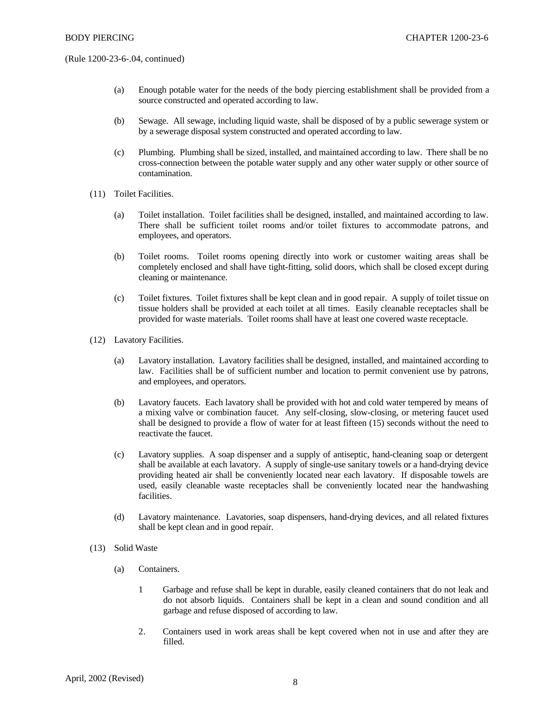- (a) Enough potable water for the needs of the body piercing establishment shall be provided from a source constructed and operated according to law.
- (b) Sewage. All sewage, including liquid waste, shall be disposed of by a public sewerage system or by a sewerage disposal system constructed and operated according to law.
- (c) Plumbing. Plumbing shall be sized, installed, and maintained according to law. There shall be no cross-connection between the potable water supply and any other water supply or other source of contamination.
- (11) Toilet Facilities.
	- (a) Toilet installation. Toilet facilities shall be designed, installed, and maintained according to law. There shall be sufficient toilet rooms and/or toilet fixtures to accommodate patrons, and employees, and operators.
	- (b) Toilet rooms. Toilet rooms opening directly into work or customer waiting areas shall be completely enclosed and shall have tight-fitting, solid doors, which shall be closed except during cleaning or maintenance.
	- (c) Toilet fixtures. Toilet fixtures shall be kept clean and in good repair. A supply of toilet tissue on tissue holders shall be provided at each toilet at all times. Easily cleanable receptacles shall be provided for waste materials. Toilet rooms shall have at least one covered waste receptacle.
- (12) Lavatory Facilities.
	- (a) Lavatory installation. Lavatory facilities shall be designed, installed, and maintained according to law. Facilities shall be of sufficient number and location to permit convenient use by patrons, and employees, and operators.
	- (b) Lavatory faucets. Each lavatory shall be provided with hot and cold water tempered by means of a mixing valve or combination faucet. Any self-closing, slow-closing, or metering faucet used shall be designed to provide a flow of water for at least fifteen (15) seconds without the need to reactivate the faucet.
	- (c) Lavatory supplies. A soap dispenser and a supply of antiseptic, hand-cleaning soap or detergent shall be available at each lavatory. A supply of single-use sanitary towels or a hand-drying device providing heated air shall be conveniently located near each lavatory. If disposable towels are used, easily cleanable waste receptacles shall be conveniently located near the handwashing facilities.
	- (d) Lavatory maintenance. Lavatories, soap dispensers, hand-drying devices, and all related fixtures shall be kept clean and in good repair.
- (13) Solid Waste
	- (a) Containers.
		- 1 Garbage and refuse shall be kept in durable, easily cleaned containers that do not leak and do not absorb liquids. Containers shall be kept in a clean and sound condition and all garbage and refuse disposed of according to law.
		- 2. Containers used in work areas shall be kept covered when not in use and after they are filled.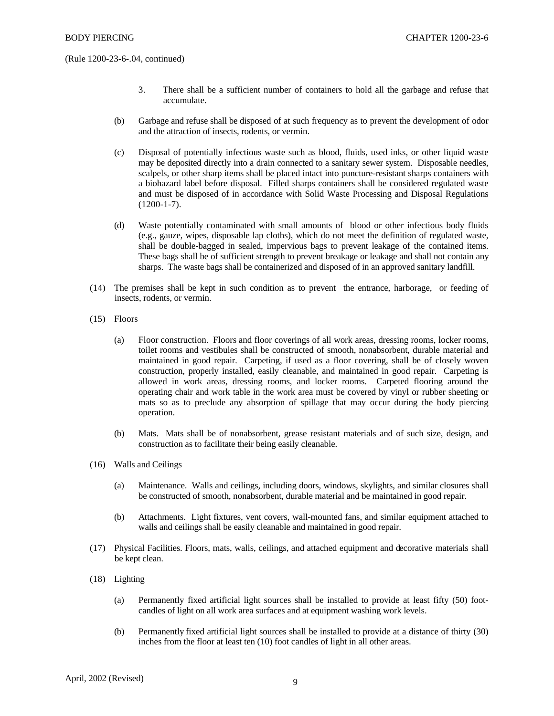- 3. There shall be a sufficient number of containers to hold all the garbage and refuse that accumulate.
- (b) Garbage and refuse shall be disposed of at such frequency as to prevent the development of odor and the attraction of insects, rodents, or vermin.
- (c) Disposal of potentially infectious waste such as blood, fluids, used inks, or other liquid waste may be deposited directly into a drain connected to a sanitary sewer system. Disposable needles, scalpels, or other sharp items shall be placed intact into puncture-resistant sharps containers with a biohazard label before disposal. Filled sharps containers shall be considered regulated waste and must be disposed of in accordance with Solid Waste Processing and Disposal Regulations  $(1200-1-7)$ .
- (d) Waste potentially contaminated with small amounts of blood or other infectious body fluids (e.g., gauze, wipes, disposable lap cloths), which do not meet the definition of regulated waste, shall be double-bagged in sealed, impervious bags to prevent leakage of the contained items. These bags shall be of sufficient strength to prevent breakage or leakage and shall not contain any sharps. The waste bags shall be containerized and disposed of in an approved sanitary landfill.
- (14) The premises shall be kept in such condition as to prevent the entrance, harborage, or feeding of insects, rodents, or vermin.
- (15) Floors
	- (a) Floor construction. Floors and floor coverings of all work areas, dressing rooms, locker rooms, toilet rooms and vestibules shall be constructed of smooth, nonabsorbent, durable material and maintained in good repair. Carpeting, if used as a floor covering, shall be of closely woven construction, properly installed, easily cleanable, and maintained in good repair. Carpeting is allowed in work areas, dressing rooms, and locker rooms. Carpeted flooring around the operating chair and work table in the work area must be covered by vinyl or rubber sheeting or mats so as to preclude any absorption of spillage that may occur during the body piercing operation.
	- (b) Mats. Mats shall be of nonabsorbent, grease resistant materials and of such size, design, and construction as to facilitate their being easily cleanable.
- (16) Walls and Ceilings
	- (a) Maintenance. Walls and ceilings, including doors, windows, skylights, and similar closures shall be constructed of smooth, nonabsorbent, durable material and be maintained in good repair.
	- (b) Attachments. Light fixtures, vent covers, wall-mounted fans, and similar equipment attached to walls and ceilings shall be easily cleanable and maintained in good repair.
- (17) Physical Facilities. Floors, mats, walls, ceilings, and attached equipment and decorative materials shall be kept clean.
- (18) Lighting
	- (a) Permanently fixed artificial light sources shall be installed to provide at least fifty (50) footcandles of light on all work area surfaces and at equipment washing work levels.
	- (b) Permanently fixed artificial light sources shall be installed to provide at a distance of thirty (30) inches from the floor at least ten (10) foot candles of light in all other areas.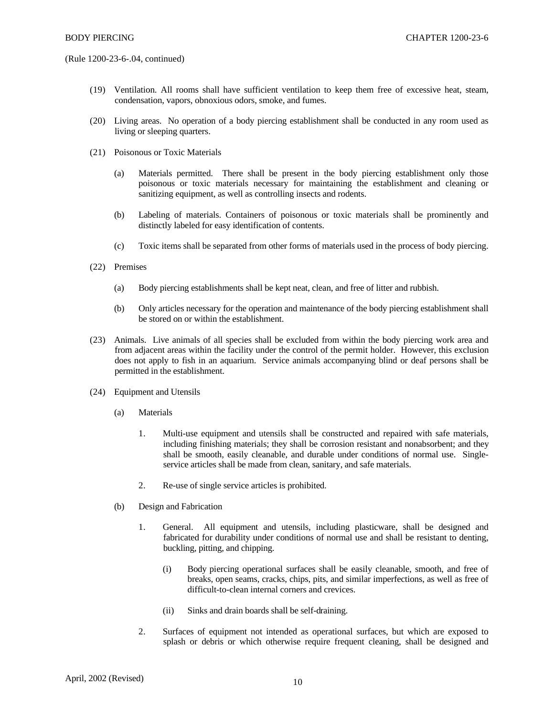- (19) Ventilation. All rooms shall have sufficient ventilation to keep them free of excessive heat, steam, condensation, vapors, obnoxious odors, smoke, and fumes.
- (20) Living areas. No operation of a body piercing establishment shall be conducted in any room used as living or sleeping quarters.
- (21) Poisonous or Toxic Materials
	- (a) Materials permitted. There shall be present in the body piercing establishment only those poisonous or toxic materials necessary for maintaining the establishment and cleaning or sanitizing equipment, as well as controlling insects and rodents.
	- (b) Labeling of materials. Containers of poisonous or toxic materials shall be prominently and distinctly labeled for easy identification of contents.
	- (c) Toxic items shall be separated from other forms of materials used in the process of body piercing.
- (22) Premises
	- (a) Body piercing establishments shall be kept neat, clean, and free of litter and rubbish.
	- (b) Only articles necessary for the operation and maintenance of the body piercing establishment shall be stored on or within the establishment.
- (23) Animals. Live animals of all species shall be excluded from within the body piercing work area and from adjacent areas within the facility under the control of the permit holder. However, this exclusion does not apply to fish in an aquarium. Service animals accompanying blind or deaf persons shall be permitted in the establishment.
- (24) Equipment and Utensils
	- (a) Materials
		- 1. Multi-use equipment and utensils shall be constructed and repaired with safe materials, including finishing materials; they shall be corrosion resistant and nonabsorbent; and they shall be smooth, easily cleanable, and durable under conditions of normal use. Singleservice articles shall be made from clean, sanitary, and safe materials.
		- 2. Re-use of single service articles is prohibited.
	- (b) Design and Fabrication
		- 1. General. All equipment and utensils, including plasticware, shall be designed and fabricated for durability under conditions of normal use and shall be resistant to denting, buckling, pitting, and chipping.
			- (i) Body piercing operational surfaces shall be easily cleanable, smooth, and free of breaks, open seams, cracks, chips, pits, and similar imperfections, as well as free of difficult-to-clean internal corners and crevices.
			- (ii) Sinks and drain boards shall be self-draining.
		- 2. Surfaces of equipment not intended as operational surfaces, but which are exposed to splash or debris or which otherwise require frequent cleaning, shall be designed and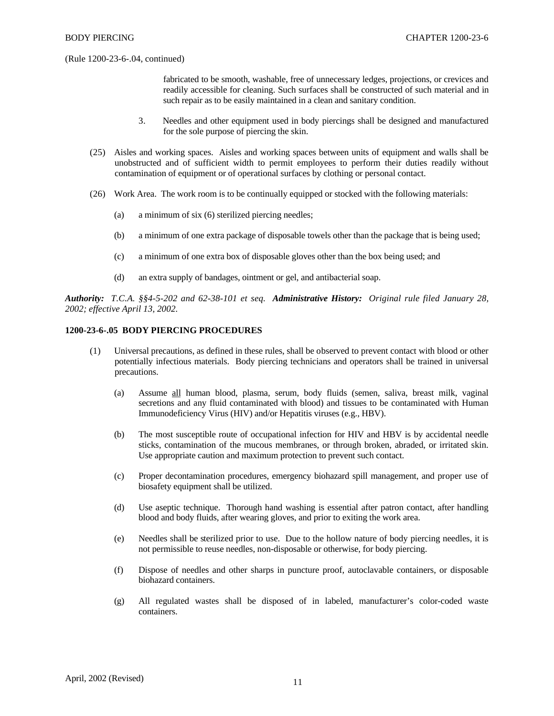fabricated to be smooth, washable, free of unnecessary ledges, projections, or crevices and readily accessible for cleaning. Such surfaces shall be constructed of such material and in such repair as to be easily maintained in a clean and sanitary condition.

- 3. Needles and other equipment used in body piercings shall be designed and manufactured for the sole purpose of piercing the skin.
- (25) Aisles and working spaces. Aisles and working spaces between units of equipment and walls shall be unobstructed and of sufficient width to permit employees to perform their duties readily without contamination of equipment or of operational surfaces by clothing or personal contact.
- (26) Work Area. The work room is to be continually equipped or stocked with the following materials:
	- (a) a minimum of six (6) sterilized piercing needles;
	- (b) a minimum of one extra package of disposable towels other than the package that is being used;
	- (c) a minimum of one extra box of disposable gloves other than the box being used; and
	- (d) an extra supply of bandages, ointment or gel, and antibacterial soap.

*Authority: T.C.A. §§4-5-202 and 62-38-101 et seq. Administrative History: Original rule filed January 28, 2002; effective April 13, 2002.*

### **1200-23-6-.05 BODY PIERCING PROCEDURES**

- (1) Universal precautions, as defined in these rules, shall be observed to prevent contact with blood or other potentially infectious materials. Body piercing technicians and operators shall be trained in universal precautions.
	- (a) Assume all human blood, plasma, serum, body fluids (semen, saliva, breast milk, vaginal secretions and any fluid contaminated with blood) and tissues to be contaminated with Human Immunodeficiency Virus (HIV) and/or Hepatitis viruses (e.g., HBV).
	- (b) The most susceptible route of occupational infection for HIV and HBV is by accidental needle sticks, contamination of the mucous membranes, or through broken, abraded, or irritated skin. Use appropriate caution and maximum protection to prevent such contact.
	- (c) Proper decontamination procedures, emergency biohazard spill management, and proper use of biosafety equipment shall be utilized.
	- (d) Use aseptic technique. Thorough hand washing is essential after patron contact, after handling blood and body fluids, after wearing gloves, and prior to exiting the work area.
	- (e) Needles shall be sterilized prior to use. Due to the hollow nature of body piercing needles, it is not permissible to reuse needles, non-disposable or otherwise, for body piercing.
	- (f) Dispose of needles and other sharps in puncture proof, autoclavable containers, or disposable biohazard containers.
	- (g) All regulated wastes shall be disposed of in labeled, manufacturer's color-coded waste containers.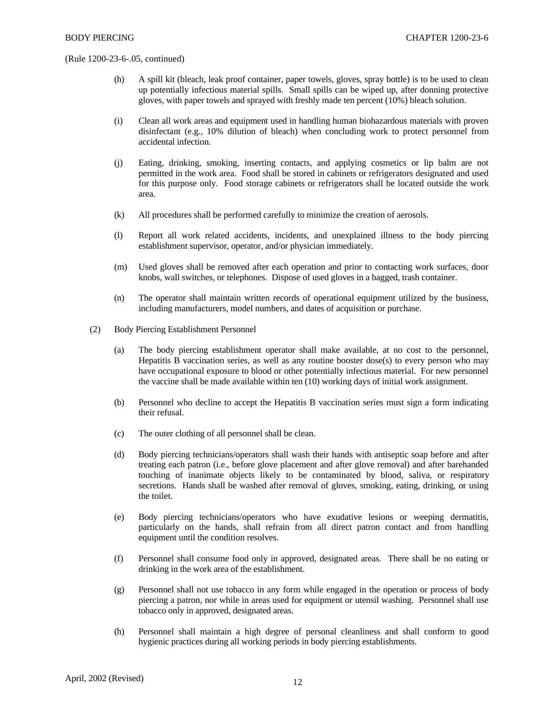- (h) A spill kit (bleach, leak proof container, paper towels, gloves, spray bottle) is to be used to clean up potentially infectious material spills. Small spills can be wiped up, after donning protective gloves, with paper towels and sprayed with freshly made ten percent (10%) bleach solution.
- (i) Clean all work areas and equipment used in handling human biohazardous materials with proven disinfectant (e.g., 10% dilution of bleach) when concluding work to protect personnel from accidental infection.
- (j) Eating, drinking, smoking, inserting contacts, and applying cosmetics or lip balm are not permitted in the work area. Food shall be stored in cabinets or refrigerators designated and used for this purpose only. Food storage cabinets or refrigerators shall be located outside the work area.
- (k) All procedures shall be performed carefully to minimize the creation of aerosols.
- (l) Report all work related accidents, incidents, and unexplained illness to the body piercing establishment supervisor, operator, and/or physician immediately.
- (m) Used gloves shall be removed after each operation and prior to contacting work surfaces, door knobs, wall switches, or telephones. Dispose of used gloves in a bagged, trash container.
- (n) The operator shall maintain written records of operational equipment utilized by the business, including manufacturers, model numbers, and dates of acquisition or purchase.
- (2) Body Piercing Establishment Personnel
	- (a) The body piercing establishment operator shall make available, at no cost to the personnel, Hepatitis B vaccination series, as well as any routine booster dose(s) to every person who may have occupational exposure to blood or other potentially infectious material. For new personnel the vaccine shall be made available within ten (10) working days of initial work assignment.
	- (b) Personnel who decline to accept the Hepatitis B vaccination series must sign a form indicating their refusal.
	- (c) The outer clothing of all personnel shall be clean.
	- (d) Body piercing technicians/operators shall wash their hands with antiseptic soap before and after treating each patron (i.e., before glove placement and after glove removal) and after barehanded touching of inanimate objects likely to be contaminated by blood, saliva, or respiratory secretions. Hands shall be washed after removal of gloves, smoking, eating, drinking, or using the toilet.
	- (e) Body piercing technicians/operators who have exudative lesions or weeping dermatitis, particularly on the hands, shall refrain from all direct patron contact and from handling equipment until the condition resolves.
	- (f) Personnel shall consume food only in approved, designated areas. There shall be no eating or drinking in the work area of the establishment.
	- (g) Personnel shall not use tobacco in any form while engaged in the operation or process of body piercing a patron, nor while in areas used for equipment or utensil washing. Personnel shall use tobacco only in approved, designated areas.
	- (h) Personnel shall maintain a high degree of personal cleanliness and shall conform to good hygienic practices during all working periods in body piercing establishments.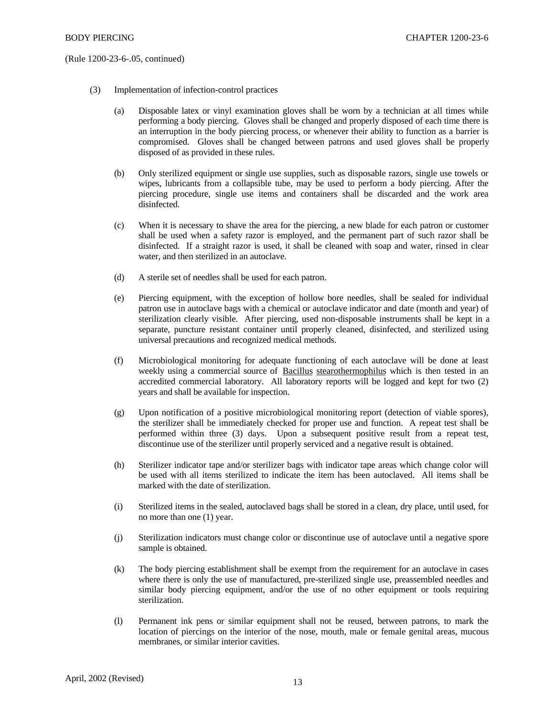- (3) Implementation of infection-control practices
	- (a) Disposable latex or vinyl examination gloves shall be worn by a technician at all times while performing a body piercing. Gloves shall be changed and properly disposed of each time there is an interruption in the body piercing process, or whenever their ability to function as a barrier is compromised. Gloves shall be changed between patrons and used gloves shall be properly disposed of as provided in these rules.
	- (b) Only sterilized equipment or single use supplies, such as disposable razors, single use towels or wipes, lubricants from a collapsible tube, may be used to perform a body piercing. After the piercing procedure, single use items and containers shall be discarded and the work area disinfected.
	- (c) When it is necessary to shave the area for the piercing, a new blade for each patron or customer shall be used when a safety razor is employed, and the permanent part of such razor shall be disinfected. If a straight razor is used, it shall be cleaned with soap and water, rinsed in clear water, and then sterilized in an autoclave.
	- (d) A sterile set of needles shall be used for each patron.
	- (e) Piercing equipment, with the exception of hollow bore needles, shall be sealed for individual patron use in autoclave bags with a chemical or autoclave indicator and date (month and year) of sterilization clearly visible. After piercing, used non-disposable instruments shall be kept in a separate, puncture resistant container until properly cleaned, disinfected, and sterilized using universal precautions and recognized medical methods.
	- (f) Microbiological monitoring for adequate functioning of each autoclave will be done at least weekly using a commercial source of Bacillus stearothermophilus which is then tested in an accredited commercial laboratory. All laboratory reports will be logged and kept for two (2) years and shall be available for inspection.
	- (g) Upon notification of a positive microbiological monitoring report (detection of viable spores), the sterilizer shall be immediately checked for proper use and function. A repeat test shall be performed within three (3) days. Upon a subsequent positive result from a repeat test, discontinue use of the sterilizer until properly serviced and a negative result is obtained.
	- (h) Sterilizer indicator tape and/or sterilizer bags with indicator tape areas which change color will be used with all items sterilized to indicate the item has been autoclaved. All items shall be marked with the date of sterilization.
	- (i) Sterilized items in the sealed, autoclaved bags shall be stored in a clean, dry place, until used, for no more than one (1) year.
	- (j) Sterilization indicators must change color or discontinue use of autoclave until a negative spore sample is obtained.
	- (k) The body piercing establishment shall be exempt from the requirement for an autoclave in cases where there is only the use of manufactured, pre-sterilized single use, preassembled needles and similar body piercing equipment, and/or the use of no other equipment or tools requiring sterilization.
	- (l) Permanent ink pens or similar equipment shall not be reused, between patrons, to mark the location of piercings on the interior of the nose, mouth, male or female genital areas, mucous membranes, or similar interior cavities.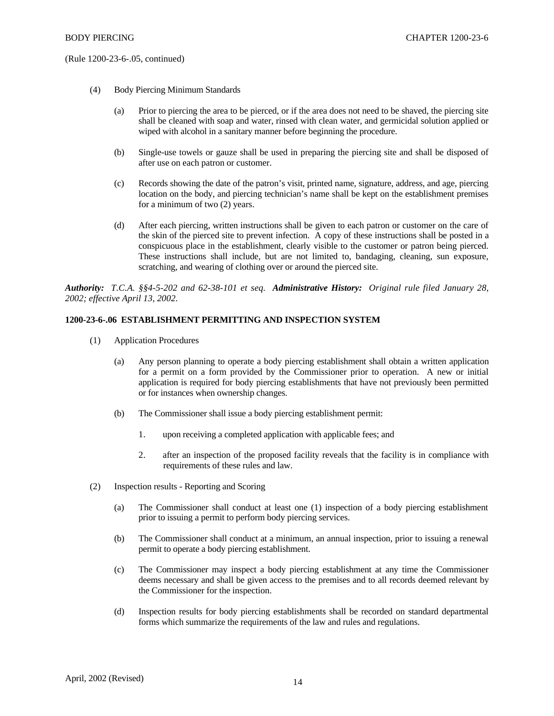- (4) Body Piercing Minimum Standards
	- (a) Prior to piercing the area to be pierced, or if the area does not need to be shaved, the piercing site shall be cleaned with soap and water, rinsed with clean water, and germicidal solution applied or wiped with alcohol in a sanitary manner before beginning the procedure.
	- (b) Single-use towels or gauze shall be used in preparing the piercing site and shall be disposed of after use on each patron or customer.
	- (c) Records showing the date of the patron's visit, printed name, signature, address, and age, piercing location on the body, and piercing technician's name shall be kept on the establishment premises for a minimum of two (2) years.
	- (d) After each piercing, written instructions shall be given to each patron or customer on the care of the skin of the pierced site to prevent infection. A copy of these instructions shall be posted in a conspicuous place in the establishment, clearly visible to the customer or patron being pierced. These instructions shall include, but are not limited to, bandaging, cleaning, sun exposure, scratching, and wearing of clothing over or around the pierced site.

*Authority: T.C.A. §§4-5-202 and 62-38-101 et seq. Administrative History: Original rule filed January 28, 2002; effective April 13, 2002.*

# **1200-23-6-.06 ESTABLISHMENT PERMITTING AND INSPECTION SYSTEM**

- (1) Application Procedures
	- (a) Any person planning to operate a body piercing establishment shall obtain a written application for a permit on a form provided by the Commissioner prior to operation. A new or initial application is required for body piercing establishments that have not previously been permitted or for instances when ownership changes.
	- (b) The Commissioner shall issue a body piercing establishment permit:
		- 1. upon receiving a completed application with applicable fees; and
		- 2. after an inspection of the proposed facility reveals that the facility is in compliance with requirements of these rules and law.
- (2) Inspection results Reporting and Scoring
	- (a) The Commissioner shall conduct at least one (1) inspection of a body piercing establishment prior to issuing a permit to perform body piercing services.
	- (b) The Commissioner shall conduct at a minimum, an annual inspection, prior to issuing a renewal permit to operate a body piercing establishment.
	- (c) The Commissioner may inspect a body piercing establishment at any time the Commissioner deems necessary and shall be given access to the premises and to all records deemed relevant by the Commissioner for the inspection.
	- (d) Inspection results for body piercing establishments shall be recorded on standard departmental forms which summarize the requirements of the law and rules and regulations.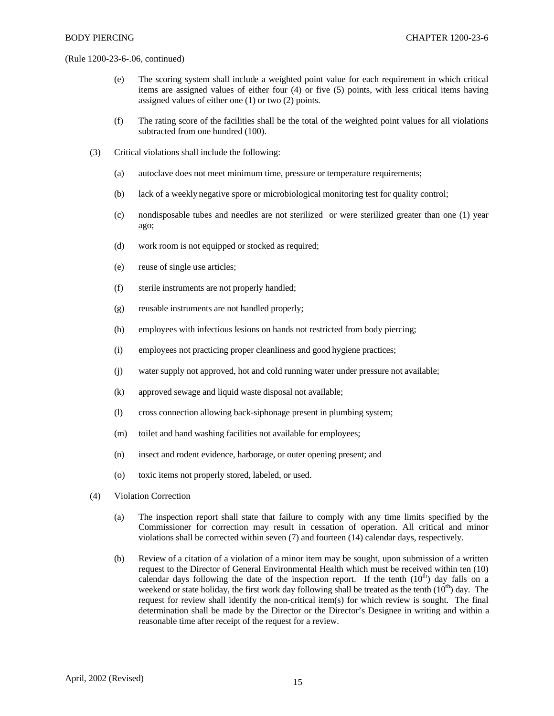- (e) The scoring system shall include a weighted point value for each requirement in which critical items are assigned values of either four (4) or five (5) points, with less critical items having assigned values of either one (1) or two (2) points.
- (f) The rating score of the facilities shall be the total of the weighted point values for all violations subtracted from one hundred (100).
- (3) Critical violations shall include the following:
	- (a) autoclave does not meet minimum time, pressure or temperature requirements;
	- (b) lack of a weekly negative spore or microbiological monitoring test for quality control;
	- (c) nondisposable tubes and needles are not sterilized or were sterilized greater than one (1) year ago;
	- (d) work room is not equipped or stocked as required;
	- (e) reuse of single use articles;
	- (f) sterile instruments are not properly handled;
	- (g) reusable instruments are not handled properly;
	- (h) employees with infectious lesions on hands not restricted from body piercing;
	- (i) employees not practicing proper cleanliness and good hygiene practices;
	- (j) water supply not approved, hot and cold running water under pressure not available;
	- (k) approved sewage and liquid waste disposal not available;
	- (l) cross connection allowing back-siphonage present in plumbing system;
	- (m) toilet and hand washing facilities not available for employees;
	- (n) insect and rodent evidence, harborage, or outer opening present; and
	- (o) toxic items not properly stored, labeled, or used.
- (4) Violation Correction
	- (a) The inspection report shall state that failure to comply with any time limits specified by the Commissioner for correction may result in cessation of operation. All critical and minor violations shall be corrected within seven (7) and fourteen (14) calendar days, respectively.
	- (b) Review of a citation of a violation of a minor item may be sought, upon submission of a written request to the Director of General Environmental Health which must be received within ten (10) calendar days following the date of the inspection report. If the tenth  $(10<sup>th</sup>)$  day falls on a weekend or state holiday, the first work day following shall be treated as the tenth  $(10<sup>th</sup>)$  day. The request for review shall identify the non-critical item(s) for which review is sought. The final determination shall be made by the Director or the Director's Designee in writing and within a reasonable time after receipt of the request for a review.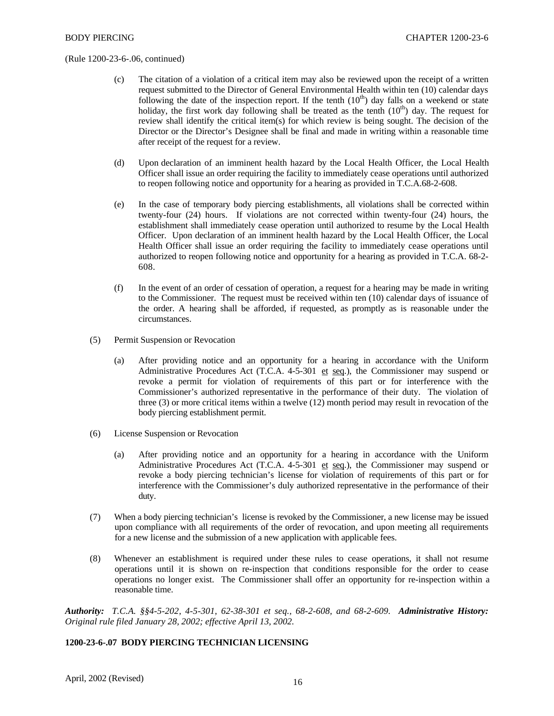- (c) The citation of a violation of a critical item may also be reviewed upon the receipt of a written request submitted to the Director of General Environmental Health within ten (10) calendar days following the date of the inspection report. If the tenth  $(10<sup>th</sup>)$  day falls on a weekend or state holiday, the first work day following shall be treated as the tenth  $(10<sup>th</sup>)$  day. The request for review shall identify the critical item(s) for which review is being sought. The decision of the Director or the Director's Designee shall be final and made in writing within a reasonable time after receipt of the request for a review.
- (d) Upon declaration of an imminent health hazard by the Local Health Officer, the Local Health Officer shall issue an order requiring the facility to immediately cease operations until authorized to reopen following notice and opportunity for a hearing as provided in T.C.A.68-2-608.
- (e) In the case of temporary body piercing establishments, all violations shall be corrected within twenty-four (24) hours. If violations are not corrected within twenty-four (24) hours, the establishment shall immediately cease operation until authorized to resume by the Local Health Officer. Upon declaration of an imminent health hazard by the Local Health Officer, the Local Health Officer shall issue an order requiring the facility to immediately cease operations until authorized to reopen following notice and opportunity for a hearing as provided in T.C.A. 68-2- 608.
- (f) In the event of an order of cessation of operation, a request for a hearing may be made in writing to the Commissioner. The request must be received within ten (10) calendar days of issuance of the order. A hearing shall be afforded, if requested, as promptly as is reasonable under the circumstances.
- (5) Permit Suspension or Revocation
	- (a) After providing notice and an opportunity for a hearing in accordance with the Uniform Administrative Procedures Act (T.C.A. 4-5-301 et seq.), the Commissioner may suspend or revoke a permit for violation of requirements of this part or for interference with the Commissioner's authorized representative in the performance of their duty. The violation of three (3) or more critical items within a twelve (12) month period may result in revocation of the body piercing establishment permit.
- (6) License Suspension or Revocation
	- (a) After providing notice and an opportunity for a hearing in accordance with the Uniform Administrative Procedures Act (T.C.A. 4-5-301 et seq.), the Commissioner may suspend or revoke a body piercing technician's license for violation of requirements of this part or for interference with the Commissioner's duly authorized representative in the performance of their duty.
- (7) When a body piercing technician's license is revoked by the Commissioner, a new license may be issued upon compliance with all requirements of the order of revocation, and upon meeting all requirements for a new license and the submission of a new application with applicable fees.
- (8) Whenever an establishment is required under these rules to cease operations, it shall not resume operations until it is shown on re-inspection that conditions responsible for the order to cease operations no longer exist. The Commissioner shall offer an opportunity for re-inspection within a reasonable time.

*Authority: T.C.A. §§4-5-202, 4-5-301, 62-38-301 et seq., 68-2-608, and 68-2-609. Administrative History: Original rule filed January 28, 2002; effective April 13, 2002.*

# **1200-23-6-.07 BODY PIERCING TECHNICIAN LICENSING**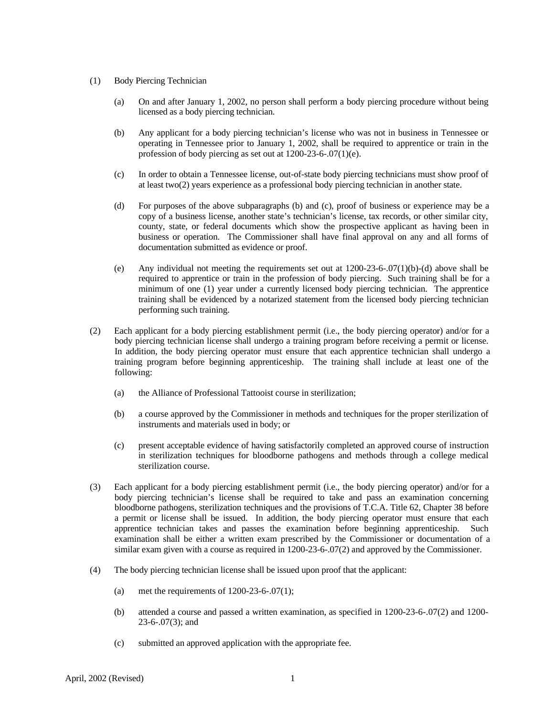- (1) Body Piercing Technician
	- (a) On and after January 1, 2002, no person shall perform a body piercing procedure without being licensed as a body piercing technician.
	- (b) Any applicant for a body piercing technician's license who was not in business in Tennessee or operating in Tennessee prior to January 1, 2002, shall be required to apprentice or train in the profession of body piercing as set out at 1200-23-6-.07(1)(e).
	- (c) In order to obtain a Tennessee license, out-of-state body piercing technicians must show proof of at least two(2) years experience as a professional body piercing technician in another state.
	- (d) For purposes of the above subparagraphs (b) and (c), proof of business or experience may be a copy of a business license, another state's technician's license, tax records, or other similar city, county, state, or federal documents which show the prospective applicant as having been in business or operation. The Commissioner shall have final approval on any and all forms of documentation submitted as evidence or proof.
	- (e) Any individual not meeting the requirements set out at  $1200-23-6-07(1)(b)-(d)$  above shall be required to apprentice or train in the profession of body piercing. Such training shall be for a minimum of one (1) year under a currently licensed body piercing technician. The apprentice training shall be evidenced by a notarized statement from the licensed body piercing technician performing such training.
- (2) Each applicant for a body piercing establishment permit (i.e., the body piercing operator) and/or for a body piercing technician license shall undergo a training program before receiving a permit or license. In addition, the body piercing operator must ensure that each apprentice technician shall undergo a training program before beginning apprenticeship. The training shall include at least one of the following:
	- (a) the Alliance of Professional Tattooist course in sterilization;
	- (b) a course approved by the Commissioner in methods and techniques for the proper sterilization of instruments and materials used in body; or
	- (c) present acceptable evidence of having satisfactorily completed an approved course of instruction in sterilization techniques for bloodborne pathogens and methods through a college medical sterilization course.
- (3) Each applicant for a body piercing establishment permit (i.e., the body piercing operator) and/or for a body piercing technician's license shall be required to take and pass an examination concerning bloodborne pathogens, sterilization techniques and the provisions of T.C.A. Title 62, Chapter 38 before a permit or license shall be issued. In addition, the body piercing operator must ensure that each apprentice technician takes and passes the examination before beginning apprenticeship. Such examination shall be either a written exam prescribed by the Commissioner or documentation of a similar exam given with a course as required in 1200-23-6-.07(2) and approved by the Commissioner.
- (4) The body piercing technician license shall be issued upon proof that the applicant:
	- (a) met the requirements of  $1200-23-6-.07(1)$ ;
	- (b) attended a course and passed a written examination, as specified in 1200-23-6-.07(2) and 1200- 23-6-.07(3); and
	- (c) submitted an approved application with the appropriate fee.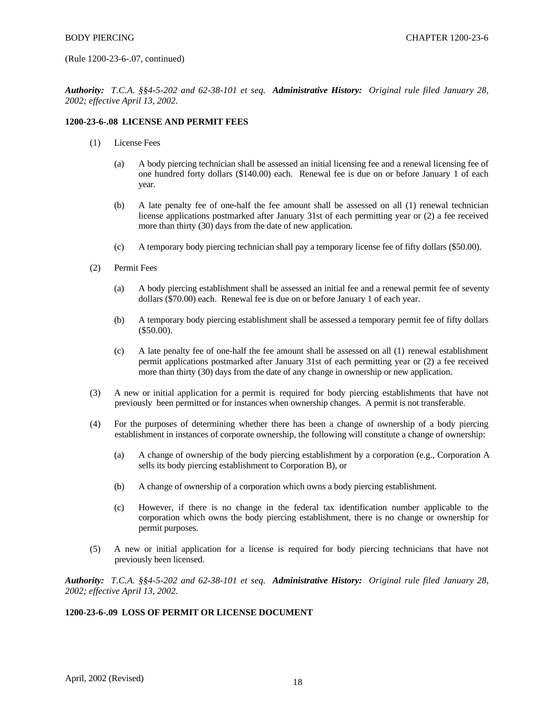*Authority: T.C.A. §§4-5-202 and 62-38-101 et seq. Administrative History: Original rule filed January 28, 2002; effective April 13, 2002.*

## **1200-23-6-.08 LICENSE AND PERMIT FEES**

- (1) License Fees
	- (a) A body piercing technician shall be assessed an initial licensing fee and a renewal licensing fee of one hundred forty dollars (\$140.00) each. Renewal fee is due on or before January 1 of each year.
	- (b) A late penalty fee of one-half the fee amount shall be assessed on all (1) renewal technician license applications postmarked after January 31st of each permitting year or (2) a fee received more than thirty (30) days from the date of new application.
	- (c) A temporary body piercing technician shall pay a temporary license fee of fifty dollars (\$50.00).
- (2) Permit Fees
	- (a) A body piercing establishment shall be assessed an initial fee and a renewal permit fee of seventy dollars (\$70.00) each. Renewal fee is due on or before January 1 of each year.
	- (b) A temporary body piercing establishment shall be assessed a temporary permit fee of fifty dollars (\$50.00).
	- (c) A late penalty fee of one-half the fee amount shall be assessed on all (1) renewal establishment permit applications postmarked after January 31st of each permitting year or (2) a fee received more than thirty (30) days from the date of any change in ownership or new application.
- (3) A new or initial application for a permit is required for body piercing establishments that have not previously been permitted or for instances when ownership changes. A permit is not transferable.
- (4) For the purposes of determining whether there has been a change of ownership of a body piercing establishment in instances of corporate ownership, the following will constitute a change of ownership:
	- (a) A change of ownership of the body piercing establishment by a corporation (e.g., Corporation A sells its body piercing establishment to Corporation B), or
	- (b) A change of ownership of a corporation which owns a body piercing establishment.
	- (c) However, if there is no change in the federal tax identification number applicable to the corporation which owns the body piercing establishment, there is no change or ownership for permit purposes.
- (5) A new or initial application for a license is required for body piercing technicians that have not previously been licensed.

*Authority: T.C.A. §§4-5-202 and 62-38-101 et seq. Administrative History: Original rule filed January 28, 2002; effective April 13, 2002.*

## **1200-23-6-.09 LOSS OF PERMIT OR LICENSE DOCUMENT**